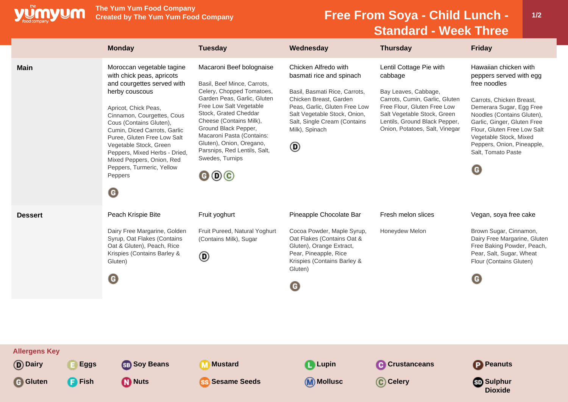

**The Yum Yum Food Company**

## **Free From Soya - Child Lunch -Standard - Week Three**

|                                                                                      | <b>Monday</b>                                                                                                                                                                                                                                                                                                                                                                                                   | <b>Tuesday</b>                                                                                                                                                                                                                                                                                                                                                                              | Wednesday                                                                                                                                                                                                                           | <b>Thursday</b>                                                                                                                                                                                                               | <b>Friday</b>                                                                                                                                                                                                                                                                                           |
|--------------------------------------------------------------------------------------|-----------------------------------------------------------------------------------------------------------------------------------------------------------------------------------------------------------------------------------------------------------------------------------------------------------------------------------------------------------------------------------------------------------------|---------------------------------------------------------------------------------------------------------------------------------------------------------------------------------------------------------------------------------------------------------------------------------------------------------------------------------------------------------------------------------------------|-------------------------------------------------------------------------------------------------------------------------------------------------------------------------------------------------------------------------------------|-------------------------------------------------------------------------------------------------------------------------------------------------------------------------------------------------------------------------------|---------------------------------------------------------------------------------------------------------------------------------------------------------------------------------------------------------------------------------------------------------------------------------------------------------|
| <b>Main</b>                                                                          | Moroccan vegetable tagine<br>with chick peas, apricots<br>and courgettes served with<br>herby couscous<br>Apricot, Chick Peas,<br>Cinnamon, Courgettes, Cous<br>Cous (Contains Gluten),<br>Cumin, Diced Carrots, Garlic<br>Puree, Gluten Free Low Salt<br>Vegetable Stock, Green<br>Peppers, Mixed Herbs - Dried,<br>Mixed Peppers, Onion, Red<br>Peppers, Turmeric, Yellow<br>Peppers<br>$\boldsymbol{\Theta}$ | Macaroni Beef bolognaise<br>Basil, Beef Mince, Carrots,<br>Celery, Chopped Tomatoes,<br>Garden Peas, Garlic, Gluten<br>Free Low Salt Vegetable<br>Stock, Grated Cheddar<br>Cheese (Contains Milk),<br>Ground Black Pepper,<br>Macaroni Pasta (Contains:<br>Gluten), Onion, Oregano,<br>Parsnips, Red Lentils, Salt,<br>Swedes, Turnips<br>$\mathbf{\Theta} \mathbf{\Theta} \mathbf{\Theta}$ | Chicken Alfredo with<br>basmati rice and spinach<br>Basil, Basmati Rice, Carrots,<br>Chicken Breast, Garden<br>Peas, Garlic, Gluten Free Low<br>Salt Vegetable Stock, Onion,<br>Salt, Single Cream (Contains<br>Milk), Spinach<br>◉ | Lentil Cottage Pie with<br>cabbage<br>Bay Leaves, Cabbage,<br>Carrots, Cumin, Garlic, Gluten<br>Free Flour, Gluten Free Low<br>Salt Vegetable Stock, Green<br>Lentils, Ground Black Pepper,<br>Onion, Potatoes, Salt, Vinegar | Hawaiian chicken with<br>peppers served with egg<br>free noodles<br>Carrots, Chicken Breast,<br>Demerara Sugar, Egg Free<br>Noodles (Contains Gluten),<br>Garlic, Ginger, Gluten Free<br>Flour, Gluten Free Low Salt<br>Vegetable Stock, Mixed<br>Peppers, Onion, Pineapple,<br>Salt, Tomato Paste<br>G |
| <b>Dessert</b>                                                                       | Peach Krispie Bite<br>Dairy Free Margarine, Golden<br>Syrup, Oat Flakes (Contains<br>Oat & Gluten), Peach, Rice<br>Krispies (Contains Barley &<br>Gluten)<br>G                                                                                                                                                                                                                                                  | Fruit yoghurt<br>Fruit Pureed, Natural Yoghurt<br>(Contains Milk), Sugar<br>◉                                                                                                                                                                                                                                                                                                               | Pineapple Chocolate Bar<br>Cocoa Powder, Maple Syrup,<br>Oat Flakes (Contains Oat &<br>Gluten), Orange Extract,<br>Pear, Pineapple, Rice<br>Krispies (Contains Barley &<br>Gluten)<br>G                                             | Fresh melon slices<br>Honeydew Melon                                                                                                                                                                                          | Vegan, soya free cake<br>Brown Sugar, Cinnamon,<br>Dairy Free Margarine, Gluten<br>Free Baking Powder, Peach,<br>Pear, Salt, Sugar, Wheat<br>Flour (Contains Gluten)<br>G                                                                                                                               |
| <b>Allergens Key</b><br>(D) Dairy<br><b>Eggs</b><br><b>G</b> Gluten<br><b>P</b> Fish | <b>SB</b> Soy Beans<br><b>D</b> Nuts                                                                                                                                                                                                                                                                                                                                                                            | <b>Mustard</b><br>$\mathbf{m}$<br><b>Sesame Seeds</b><br>(SS)                                                                                                                                                                                                                                                                                                                               | <b>Lupin</b><br><b>M</b> Mollusc                                                                                                                                                                                                    | <b>C</b> Crustanceans<br>C Celery                                                                                                                                                                                             | <b>P</b> Peanuts<br><b>Sulphur</b><br><b>Dioxide</b>                                                                                                                                                                                                                                                    |